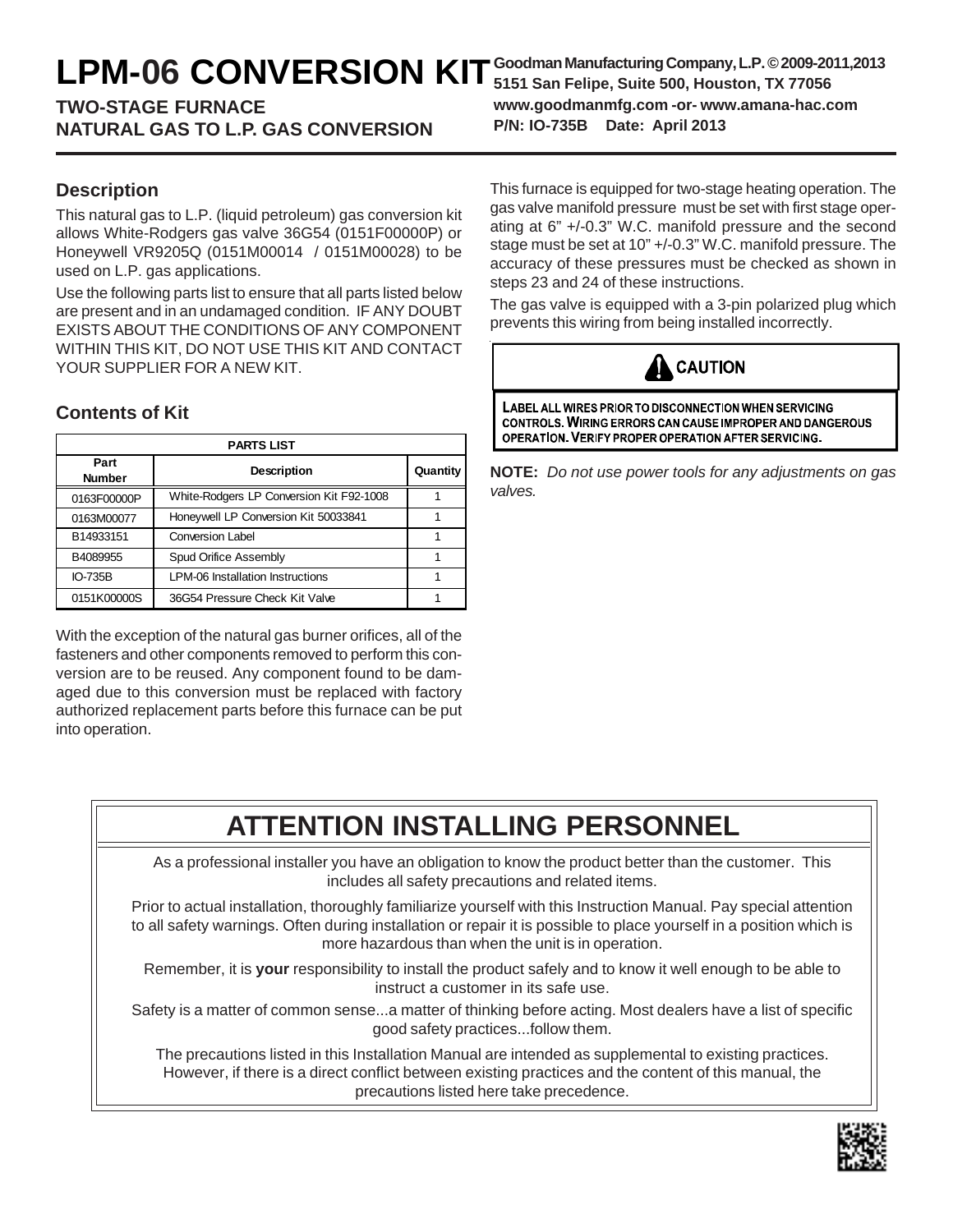# LPM-06 CONVERSION KIT <sup>Goodman Manufacturing Company, L.P. © 2009-20<br>
Stan Felipe, Suite 500, Houston, TX 77056</sup>

### **TWO-STAGE FURNACE NATURAL GAS TO L.P. GAS CONVERSION**

**Description**

This natural gas to L.P. (liquid petroleum) gas conversion kit allows White-Rodgers gas valve 36G54 (0151F00000P) or Honeywell VR9205Q (0151M00014 / 0151M00028) to be used on L.P. gas applications.

Use the following parts list to ensure that all parts listed below are present and in an undamaged condition. IF ANY DOUBT EXISTS ABOUT THE CONDITIONS OF ANY COMPONENT WITHIN THIS KIT, DO NOT USE THIS KIT AND CONTACT YOUR SUPPLIER FOR A NEW KIT.

### **Contents of Kit**

| <b>PARTS LIST</b>     |                                          |          |  |
|-----------------------|------------------------------------------|----------|--|
| Part<br><b>Number</b> | <b>Description</b>                       | Quantity |  |
| 0163F00000P           | White-Rodgers LP Conversion Kit F92-1008 |          |  |
| 0163M00077            | Honeywell LP Conversion Kit 50033841     |          |  |
| B14933151             | <b>Conversion Label</b>                  |          |  |
| B4089955              | Spud Orifice Assembly                    |          |  |
| IO-735B               | <b>LPM-06 Installation Instructions</b>  |          |  |
| 0151K00000S           | 36G54 Pressure Check Kit Valve           |          |  |

With the exception of the natural gas burner orifices, all of the fasteners and other components removed to perform this conversion are to be reused. Any component found to be damaged due to this conversion must be replaced with factory authorized replacement parts before this furnace can be put into operation.

This furnace is equipped for two-stage heating operation. The gas valve manifold pressure must be set with first stage operating at 6" +/-0.3" W.C. manifold pressure and the second stage must be set at 10" +/-0.3" W.C. manifold pressure. The accuracy of these pressures must be checked as shown in steps 23 and 24 of these instructions.

The gas valve is equipped with a 3-pin polarized plug which prevents this wiring from being installed incorrectly.



LABEL ALL WIRES PRIOR TO DISCONNECTION WHEN SERVICING CONTROLS. WIRING ERRORS CAN CAUSE IMPROPER AND DANGEROUS OPERATION. VERIFY PROPER OPERATION AFTER SERVICING.

**NOTE:** *Do not use power tools for any adjustments on gas valves.*

## **ATTENTION INSTALLING PERSONNEL**

As a professional installer you have an obligation to know the product better than the customer. This includes all safety precautions and related items.

Prior to actual installation, thoroughly familiarize yourself with this Instruction Manual. Pay special attention to all safety warnings. Often during installation or repair it is possible to place yourself in a position which is more hazardous than when the unit is in operation.

Remember, it is **your** responsibility to install the product safely and to know it well enough to be able to instruct a customer in its safe use.

Safety is a matter of common sense...a matter of thinking before acting. Most dealers have a list of specific good safety practices...follow them.

The precautions listed in this Installation Manual are intended as supplemental to existing practices. However, if there is a direct conflict between existing practices and the content of this manual, the precautions listed here take precedence.



**Goodman Manufacturing Company, L.P. © 2009-2011,2013 www.goodmanmfg.com -or- www.amana-hac.com P/N: IO-735B Date: April 2013**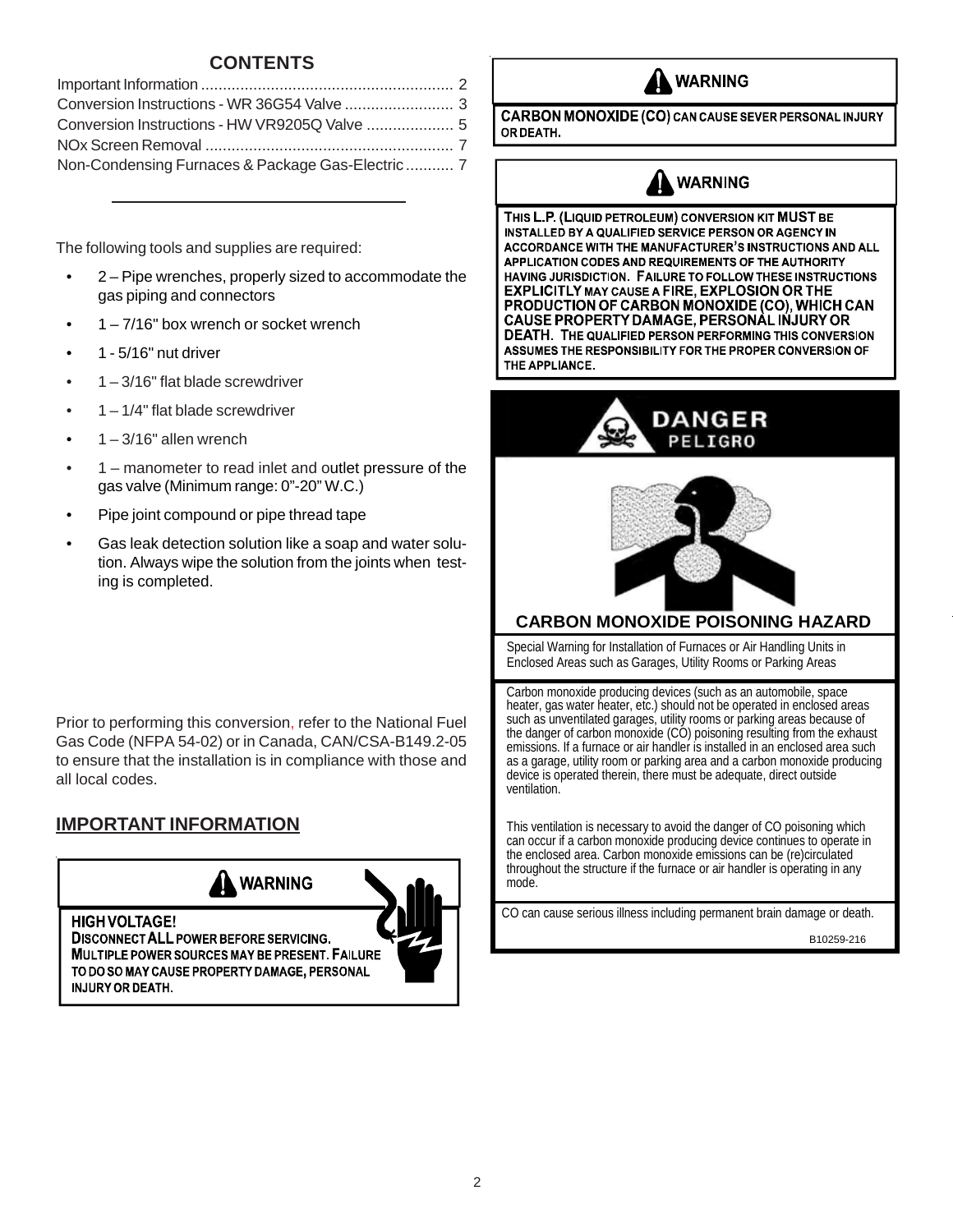### **CONTENTS**

| Non-Condensing Furnaces & Package Gas-Electric 7 |  |
|--------------------------------------------------|--|

The following tools and supplies are required:

- 2 Pipe wrenches, properly sized to accommodate the gas piping and connectors
- $1 7/16$ " box wrench or socket wrench
- 1 5/16" nut driver
- $1 3/16$ " flat blade screwdriver
- $\bullet$  1 1/4" flat blade screwdriver
- $1 3/16$ " allen wrench
- 1 manometer to read inlet and outlet pressure of the gas valve (Minimum range: 0"-20" W.C.)
- Pipe joint compound or pipe thread tape
- Gas leak detection solution like a soap and water solution. Always wipe the solution from the joints when testing is completed.

Prior to performing this conversion, refer to the National Fuel Gas Code (NFPA 54-02) or in Canada, CAN/CSA-B149.2-05 to ensure that the installation is in compliance with those and all local codes.

### **IMPORTANT INFORMATION**



MULTIPLE POWER SOURCES MAY BE PRESENT. FAILURE TO DO SO MAY CAUSE PROPERTY DAMAGE, PERSONAL **INJURY OR DEATH.** 





**CARBON MONOXIDE (CO) CAN CAUSE SEVER PERSONAL INJURY** OR DEATH.

### **WARNING**

THIS L.P. (LIQUID PETROLEUM) CONVERSION KIT MUST BE INSTALLED BY A QUALIFIED SERVICE PERSON OR AGENCY IN ACCORDANCE WITH THE MANUFACTURER'S INSTRUCTIONS AND ALL APPLICATION CODES AND REQUIREMENTS OF THE AUTHORITY HAVING JURISDICTION. FAILURE TO FOLLOW THESE INSTRUCTIONS EXPLICITLY MAY CAUSE A FIRE, EXPLOSION OR THE PRODUCTION OF CARBON MONOXIDE (CO), WHICH CAN CAUSE PROPERTY DAMAGE, PERSONÀL INJURY OR DEATH. THE QUALIFIED PERSON PERFORMING THIS CONVERSION ASSUMES THE RESPONSIBILITY FOR THE PROPER CONVERSION OF THE APPLIANCE.





### **CARBON MONOXIDE POISONING HAZARD**

Special Warning for Installation of Furnaces or Air Handling Units in Enclosed Areas such as Garages, Utility Rooms or Parking Areas

Carbon monoxide producing devices (such as an automobile, space heater, gas water heater, etc.) should not be operated in enclosed areas such as unventilated garages, utility rooms or parking areas because of the danger of carbon monoxide (CO) poisoning resulting from the exhaust emissions. If a furnace or air handler is installed in an enclosed area such as a garage, utility room or parking area and a carbon monoxide producing device is operated therein, there must be adequate, direct outside ventilation.

This ventilation is necessary to avoid the danger of CO poisoning which can occur if a carbon monoxide producing device continues to operate in the enclosed area. Carbon monoxide emissions can be (re)circulated throughout the structure if the furnace or air handler is operating in any mode.

CO can cause serious illness including permanent brain damage or death.

B10259-216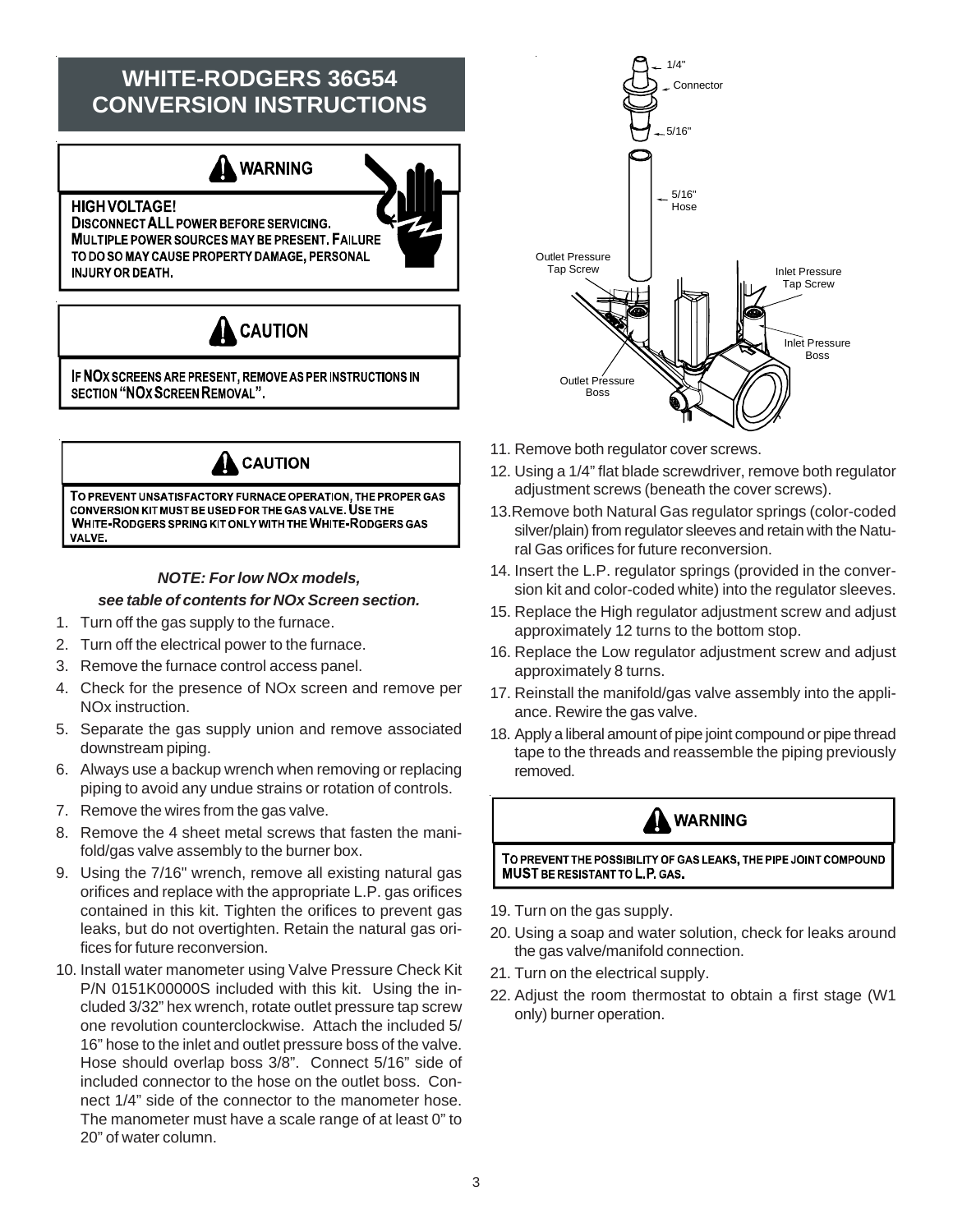### **WHITE-RODGERS 36G54 CONVERSION INSTRUCTIONS**



**DISCONNECT ALL POWER BEFORE SERVICING. MULTIPLE POWER SOURCES MAY BE PRESENT. FAILURE** TO DO SO MAY CAUSE PROPERTY DAMAGE, PERSONAL **INJURY OR DEATH.** 

**HIGH VOLTAGE!** 



IF NOX SCREENS ARE PRESENT, REMOVE AS PER INSTRUCTIONS IN SECTION "NOX SCREEN REMOVAL".



#### *NOTE: For low NOx models, see table of contents for NOx Screen section.*

- 1. Turn off the gas supply to the furnace.
- 2. Turn off the electrical power to the furnace.
- 3. Remove the furnace control access panel.
- 4. Check for the presence of NOx screen and remove per NOx instruction.
- 5. Separate the gas supply union and remove associated downstream piping.
- 6. Always use a backup wrench when removing or replacing piping to avoid any undue strains or rotation of controls.
- 7. Remove the wires from the gas valve.
- 8. Remove the 4 sheet metal screws that fasten the manifold/gas valve assembly to the burner box.
- 9. Using the 7/16" wrench, remove all existing natural gas orifices and replace with the appropriate L.P. gas orifices contained in this kit. Tighten the orifices to prevent gas leaks, but do not overtighten. Retain the natural gas orifices for future reconversion.
- 10. Install water manometer using Valve Pressure Check Kit P/N 0151K00000S included with this kit. Using the included 3/32" hex wrench, rotate outlet pressure tap screw one revolution counterclockwise. Attach the included 5/ 16" hose to the inlet and outlet pressure boss of the valve. Hose should overlap boss 3/8". Connect 5/16" side of included connector to the hose on the outlet boss. Connect 1/4" side of the connector to the manometer hose. The manometer must have a scale range of at least 0" to 20" of water column.



- 11. Remove both regulator cover screws.
- 12. Using a 1/4" flat blade screwdriver, remove both regulator adjustment screws (beneath the cover screws).
- 13.Remove both Natural Gas regulator springs (color-coded silver/plain) from regulator sleeves and retain with the Natural Gas orifices for future reconversion.
- 14. Insert the L.P. regulator springs (provided in the conversion kit and color-coded white) into the regulator sleeves.
- 15. Replace the High regulator adjustment screw and adjust approximately 12 turns to the bottom stop.
- 16. Replace the Low regulator adjustment screw and adjust approximately 8 turns.
- 17. Reinstall the manifold/gas valve assembly into the appliance. Rewire the gas valve.
- 18. Apply a liberal amount of pipe joint compound or pipe thread tape to the threads and reassemble the piping previously removed.

### A WARNING

TO PREVENT THE POSSIBILITY OF GAS LEAKS, THE PIPE JOINT COMPOUND **MUST BE RESISTANT TO L.P. GAS.** 

- 19. Turn on the gas supply.
- 20. Using a soap and water solution, check for leaks around the gas valve/manifold connection.
- 21. Turn on the electrical supply.
- 22. Adjust the room thermostat to obtain a first stage (W1 only) burner operation.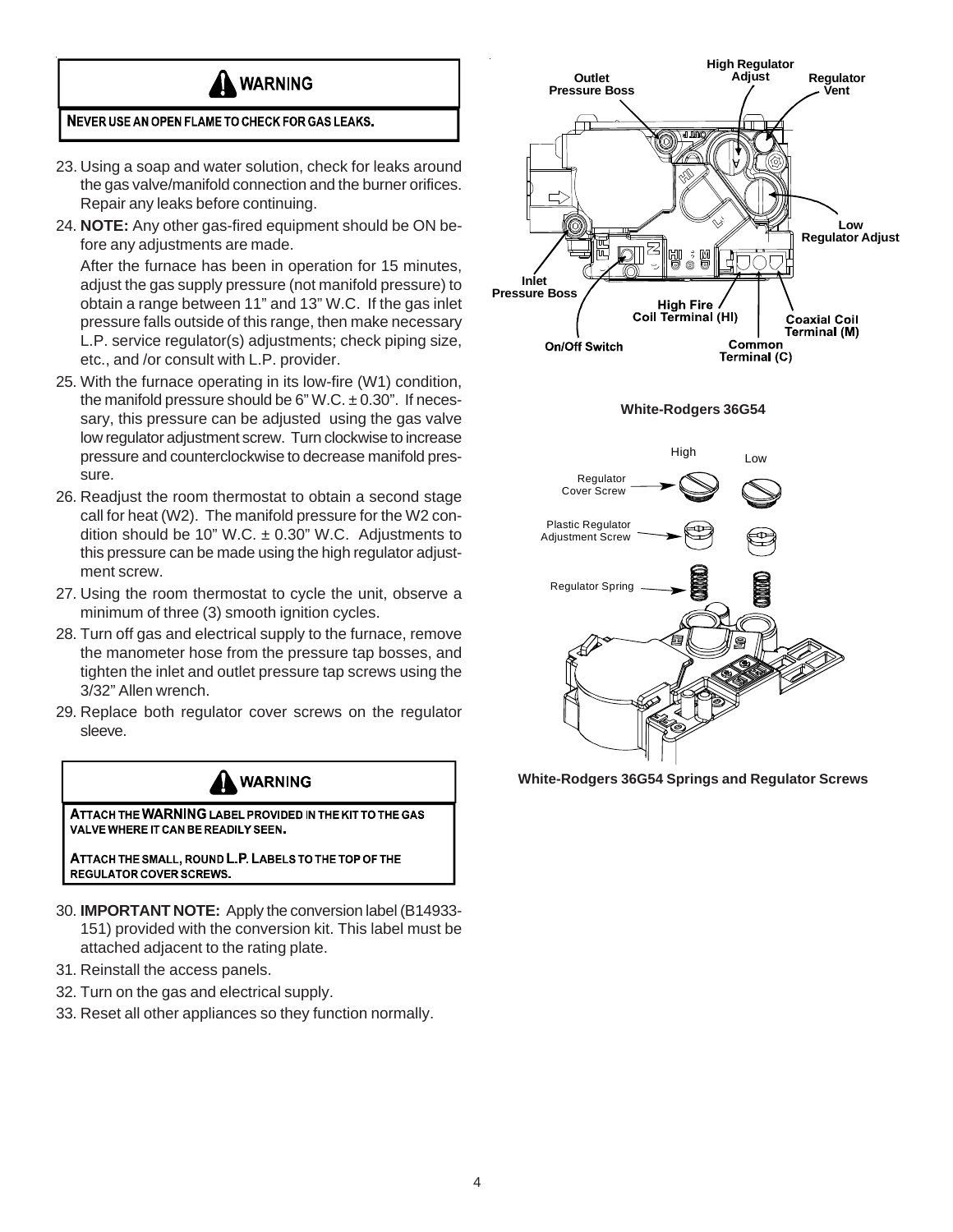

#### NEVER USE AN OPEN FLAME TO CHECK FOR GAS LEAKS.

- 23. Using a soap and water solution, check for leaks around the gas valve/manifold connection and the burner orifices. Repair any leaks before continuing.
- 24. **NOTE:** Any other gas-fired equipment should be ON before any adjustments are made.

After the furnace has been in operation for 15 minutes, adjust the gas supply pressure (not manifold pressure) to obtain a range between 11" and 13" W.C. If the gas inlet pressure falls outside of this range, then make necessary L.P. service regulator(s) adjustments; check piping size, etc., and /or consult with L.P. provider.

- 25. With the furnace operating in its low-fire (W1) condition, the manifold pressure should be 6" W.C.  $\pm$  0.30". If necessary, this pressure can be adjusted using the gas valve low regulator adjustment screw. Turn clockwise to increase pressure and counterclockwise to decrease manifold pressure.
- 26. Readjust the room thermostat to obtain a second stage call for heat (W2). The manifold pressure for the W2 condition should be 10" W.C.  $\pm$  0.30" W.C. Adjustments to this pressure can be made using the high regulator adjustment screw.
- 27. Using the room thermostat to cycle the unit, observe a minimum of three (3) smooth ignition cycles.
- 28. Turn off gas and electrical supply to the furnace, remove the manometer hose from the pressure tap bosses, and tighten the inlet and outlet pressure tap screws using the 3/32" Allen wrench.
- 29. Replace both regulator cover screws on the regulator sleeve.



- 30. **IMPORTANT NOTE:** Apply the conversion label (B14933- 151) provided with the conversion kit. This label must be attached adjacent to the rating plate.
- 31. Reinstall the access panels.
- 32. Turn on the gas and electrical supply.
- 33. Reset all other appliances so they function normally.



**White-Rodgers 36G54**



**White-Rodgers 36G54 Springs and Regulator Screws**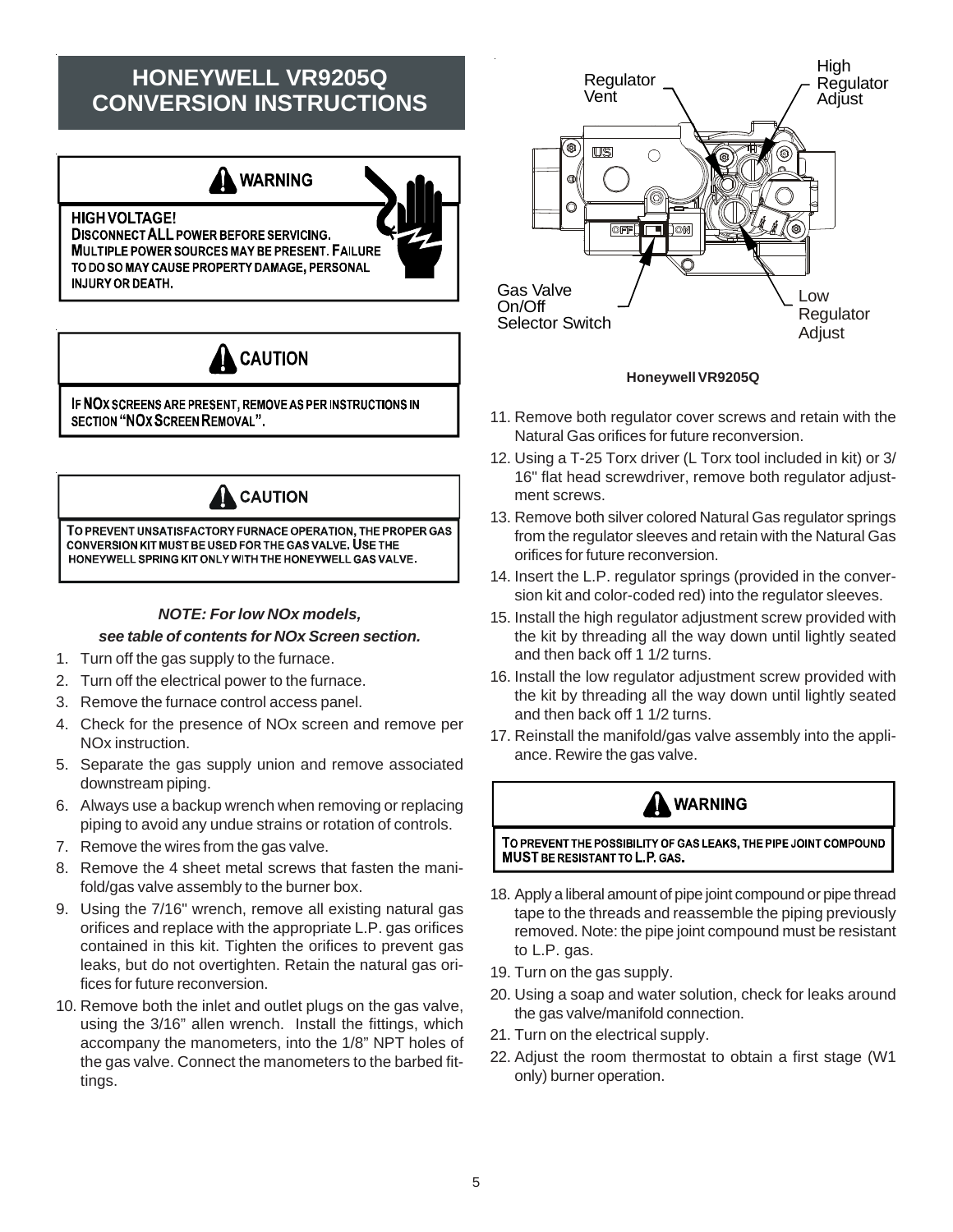### **HONEYWELL VR9205Q CONVERSION INSTRUCTIONS**





IF NOX SCREENS ARE PRESENT, REMOVE AS PER INSTRUCTIONS IN SECTION "NOX SCREEN REMOVAL".



#### *NOTE: For low NOx models,*

### *see table of contents for NOx Screen section.*

- 1. Turn off the gas supply to the furnace.
- 2. Turn off the electrical power to the furnace.
- 3. Remove the furnace control access panel.
- 4. Check for the presence of NOx screen and remove per NOx instruction.
- 5. Separate the gas supply union and remove associated downstream piping.
- 6. Always use a backup wrench when removing or replacing piping to avoid any undue strains or rotation of controls.
- 7. Remove the wires from the gas valve.
- 8. Remove the 4 sheet metal screws that fasten the manifold/gas valve assembly to the burner box.
- 9. Using the 7/16" wrench, remove all existing natural gas orifices and replace with the appropriate L.P. gas orifices contained in this kit. Tighten the orifices to prevent gas leaks, but do not overtighten. Retain the natural gas orifices for future reconversion.
- 10. Remove both the inlet and outlet plugs on the gas valve, using the 3/16" allen wrench. Install the fittings, which accompany the manometers, into the 1/8" NPT holes of the gas valve. Connect the manometers to the barbed fittings.



#### **Honeywell VR9205Q**

- 11. Remove both regulator cover screws and retain with the Natural Gas orifices for future reconversion.
- 12. Using a T-25 Torx driver (L Torx tool included in kit) or 3/ 16" flat head screwdriver, remove both regulator adjustment screws.
- 13. Remove both silver colored Natural Gas regulator springs from the regulator sleeves and retain with the Natural Gas orifices for future reconversion.
- 14. Insert the L.P. regulator springs (provided in the conversion kit and color-coded red) into the regulator sleeves.
- 15. Install the high regulator adjustment screw provided with the kit by threading all the way down until lightly seated and then back off 1 1/2 turns.
- 16. Install the low regulator adjustment screw provided with the kit by threading all the way down until lightly seated and then back off 1 1/2 turns.
- 17. Reinstall the manifold/gas valve assembly into the appliance. Rewire the gas valve.

### **WARNING**

TO PREVENT THE POSSIBILITY OF GAS LEAKS, THE PIPE JOINT COMPOUND **MUST BE RESISTANT TO L.P. GAS.** 

- 18. Apply a liberal amount of pipe joint compound or pipe thread tape to the threads and reassemble the piping previously removed. Note: the pipe joint compound must be resistant to L.P. gas.
- 19. Turn on the gas supply.
- 20. Using a soap and water solution, check for leaks around the gas valve/manifold connection.
- 21. Turn on the electrical supply.
- 22. Adjust the room thermostat to obtain a first stage (W1 only) burner operation.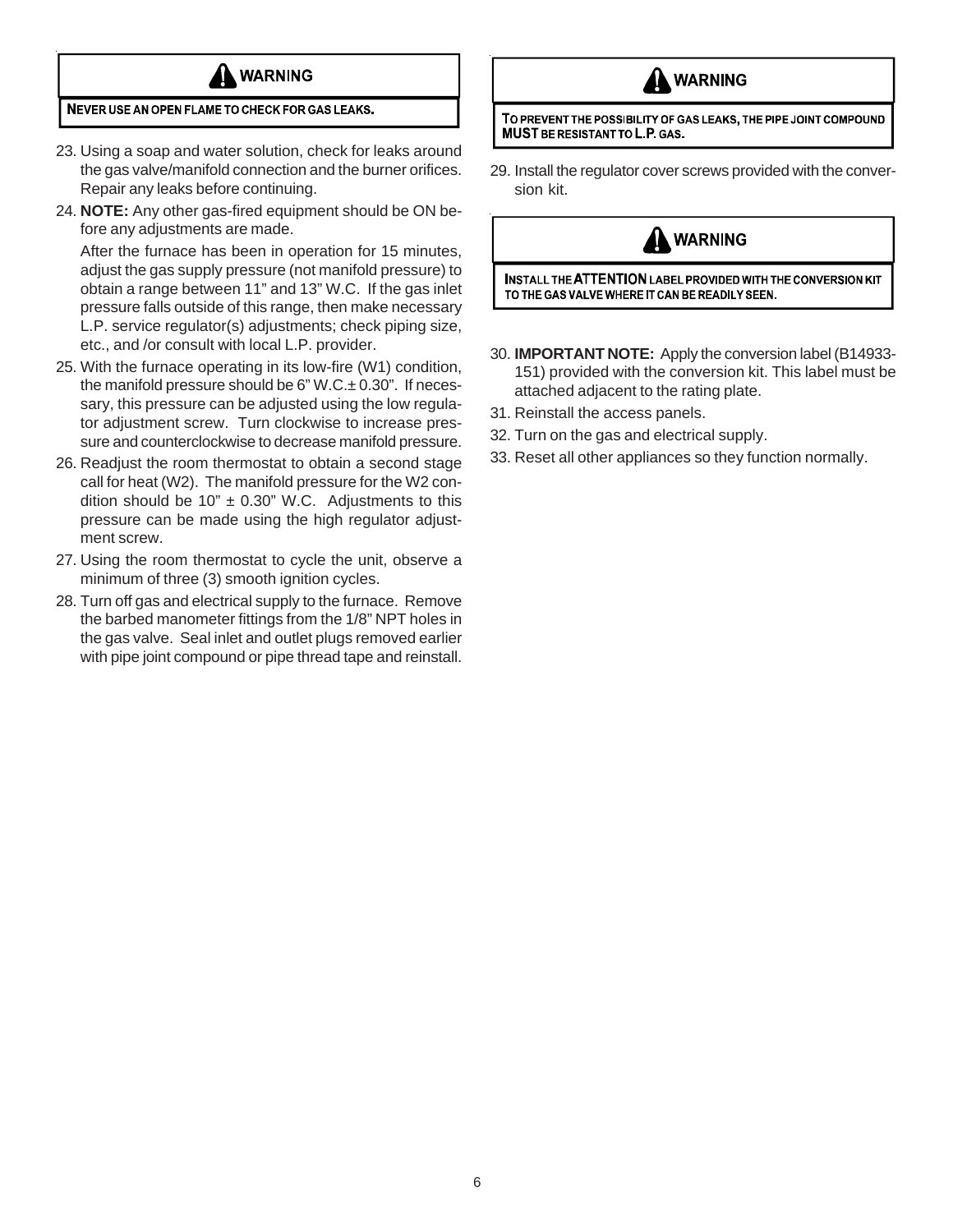

#### NEVER USE AN OPEN FLAME TO CHECK FOR GAS LEAKS.

- 23. Using a soap and water solution, check for leaks around the gas valve/manifold connection and the burner orifices. Repair any leaks before continuing.
- 24. **NOTE:** Any other gas-fired equipment should be ON before any adjustments are made.

After the furnace has been in operation for 15 minutes, adjust the gas supply pressure (not manifold pressure) to obtain a range between 11" and 13" W.C. If the gas inlet pressure falls outside of this range, then make necessary L.P. service regulator(s) adjustments; check piping size, etc., and /or consult with local L.P. provider.

- 25. With the furnace operating in its low-fire (W1) condition, the manifold pressure should be  $6"$  W.C. $\pm$  0.30". If necessary, this pressure can be adjusted using the low regulator adjustment screw. Turn clockwise to increase pressure and counterclockwise to decrease manifold pressure.
- 26. Readjust the room thermostat to obtain a second stage call for heat (W2). The manifold pressure for the W2 condition should be 10"  $\pm$  0.30" W.C. Adjustments to this pressure can be made using the high regulator adjustment screw.
- 27. Using the room thermostat to cycle the unit, observe a minimum of three (3) smooth ignition cycles.
- 28. Turn off gas and electrical supply to the furnace. Remove the barbed manometer fittings from the 1/8" NPT holes in the gas valve. Seal inlet and outlet plugs removed earlier with pipe joint compound or pipe thread tape and reinstall.



TO PREVENT THE POSSIBILITY OF GAS LEAKS, THE PIPE JOINT COMPOUND **MUST BE RESISTANT TO L.P. GAS.** 

29. Install the regulator cover screws provided with the conversion kit.

### **WARNING**

INSTALL THE ATTENTION LABEL PROVIDED WITH THE CONVERSION KIT TO THE GAS VALVE WHERE IT CAN BE READILY SEEN.

- 30. **IMPORTANT NOTE:** Apply the conversion label (B14933- 151) provided with the conversion kit. This label must be attached adjacent to the rating plate.
- 31. Reinstall the access panels.
- 32. Turn on the gas and electrical supply.
- 33. Reset all other appliances so they function normally.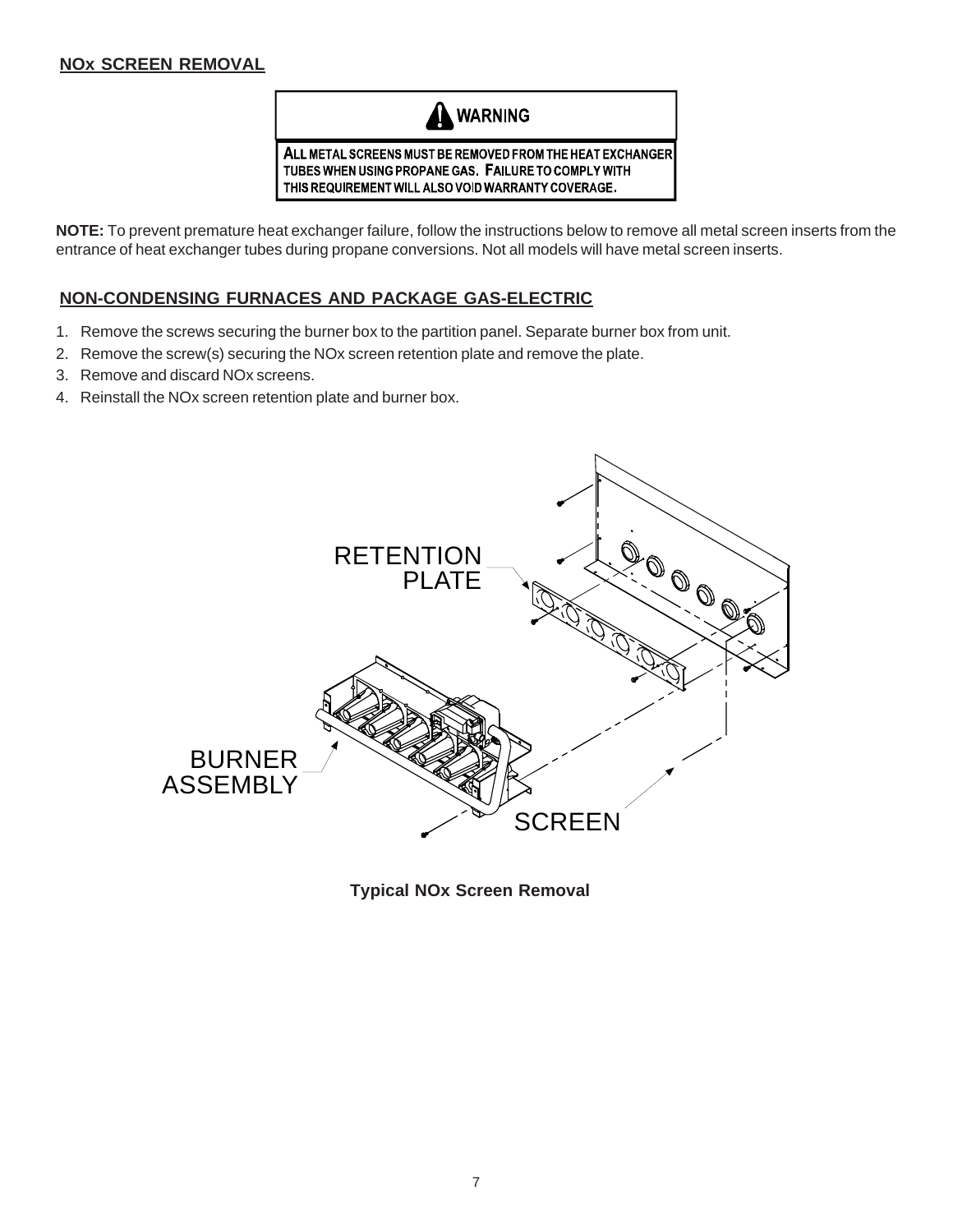### **NOx SCREEN REMOVAL**



**NOTE:** To prevent premature heat exchanger failure, follow the instructions below to remove all metal screen inserts from the entrance of heat exchanger tubes during propane conversions. Not all models will have metal screen inserts.

### **NON-CONDENSING FURNACES AND PACKAGE GAS-ELECTRIC**

- 1. Remove the screws securing the burner box to the partition panel. Separate burner box from unit.
- 2. Remove the screw(s) securing the NOx screen retention plate and remove the plate.
- 3. Remove and discard NOx screens.
- 4. Reinstall the NOx screen retention plate and burner box.



**Typical NOx Screen Removal**